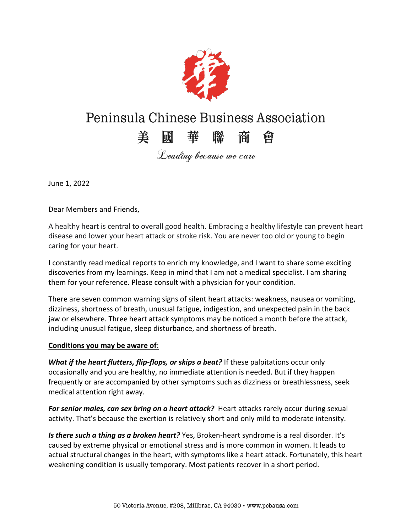

# Peninsula Chinese Business Association

# 美國華聯商會

Leading because we care

June 1, 2022

Dear Members and Friends,

A healthy heart is central to overall good health. Embracing a healthy lifestyle can prevent heart disease and lower your heart attack or stroke risk. You are never too old or young to begin caring for your heart.

I constantly read medical reports to enrich my knowledge, and I want to share some exciting discoveries from my learnings. Keep in mind that I am not a medical specialist. I am sharing them for your reference. Please consult with a physician for your condition.

There are seven common warning signs of silent heart attacks: weakness, nausea or vomiting, dizziness, shortness of breath, unusual fatigue, indigestion, and unexpected pain in the back jaw or elsewhere. Three heart attack symptoms may be noticed a month before the attack, including unusual fatigue, sleep disturbance, and shortness of breath.

#### **Conditions you may be aware of**:

*What if the heart flutters, flip-flops, or skips a beat?* If these palpitations occur only occasionally and you are healthy, no immediate attention is needed. But if they happen frequently or are accompanied by other symptoms such as dizziness or breathlessness, seek medical attention right away.

*For senior males, can sex bring on a heart attack?* Heart attacks rarely occur during sexual activity. That's because the exertion is relatively short and only mild to moderate intensity.

*Is there such a thing as a broken heart?* Yes, Broken-heart syndrome is a real disorder. It's caused by extreme physical or emotional stress and is more common in women. It leads to actual structural changes in the heart, with symptoms like a heart attack. Fortunately, this heart weakening condition is usually temporary. Most patients recover in a short period.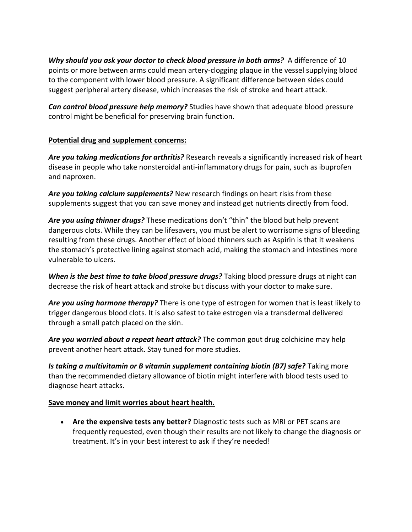*Why should you ask your doctor to check blood pressure in both arms?* A difference of 10 points or more between arms could mean artery-clogging plaque in the vessel supplying blood to the component with lower blood pressure. A significant difference between sides could suggest peripheral artery disease, which increases the risk of stroke and heart attack.

*Can control blood pressure help memory?* Studies have shown that adequate blood pressure control might be beneficial for preserving brain function.

### **Potential drug and supplement concerns:**

*Are you taking medications for arthritis?* Research reveals a significantly increased risk of heart disease in people who take nonsteroidal anti-inflammatory drugs for pain, such as ibuprofen and naproxen.

*Are you taking calcium supplements?* New research findings on heart risks from these supplements suggest that you can save money and instead get nutrients directly from food.

Are you using thinner drugs? These medications don't "thin" the blood but help prevent dangerous clots. While they can be lifesavers, you must be alert to worrisome signs of bleeding resulting from these drugs. Another effect of blood thinners such as Aspirin is that it weakens the stomach's protective lining against stomach acid, making the stomach and intestines more vulnerable to ulcers.

*When is the best time to take blood pressure drugs?* Taking blood pressure drugs at night can decrease the risk of heart attack and stroke but discuss with your doctor to make sure.

*Are you using hormone therapy?* There is one type of estrogen for women that is least likely to trigger dangerous blood clots. It is also safest to take estrogen via a transdermal delivered through a small patch placed on the skin.

*Are you worried about a repeat heart attack?* The common gout drug colchicine may help prevent another heart attack. Stay tuned for more studies.

*Is taking a multivitamin or B vitamin supplement containing biotin (B7) safe?* Taking more than the recommended dietary allowance of biotin might interfere with blood tests used to diagnose heart attacks.

#### **Save money and limit worries about heart health.**

**Are the expensive tests any better?** Diagnostic tests such as MRI or PET scans are frequently requested, even though their results are not likely to change the diagnosis or treatment. It's in your best interest to ask if they're needed!